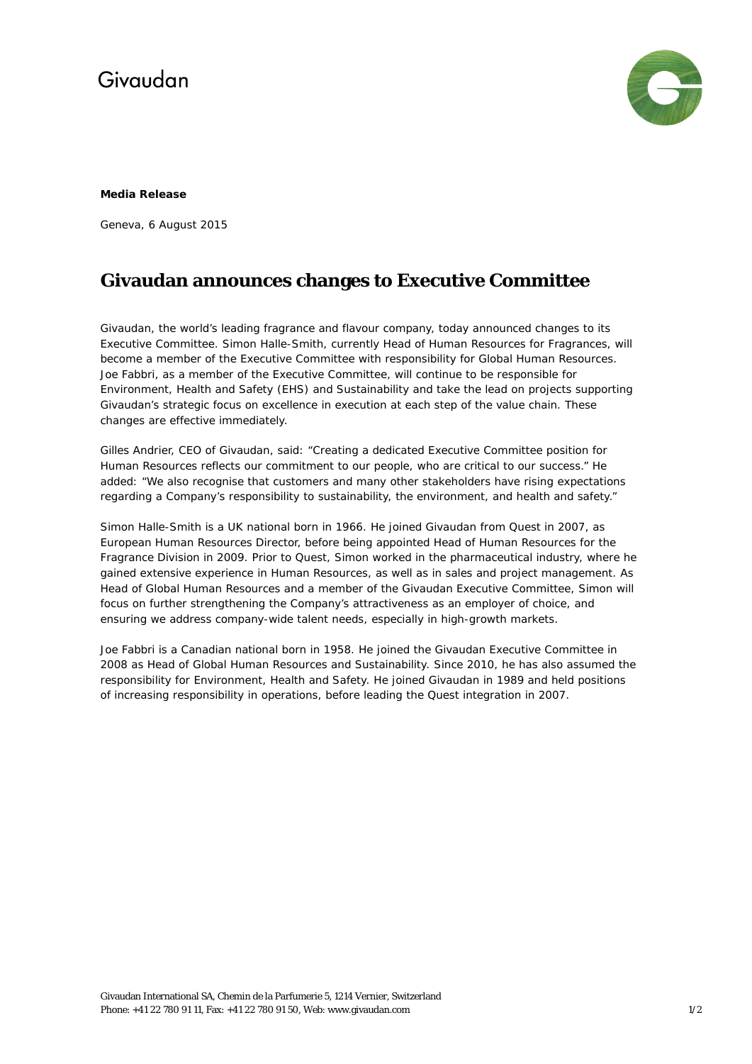## Givaudan



#### **Media Release**

Geneva, 6 August 2015

### **Givaudan announces changes to Executive Committee**

Givaudan, the world's leading fragrance and flavour company, today announced changes to its Executive Committee. Simon Halle-Smith, currently Head of Human Resources for Fragrances, will become a member of the Executive Committee with responsibility for Global Human Resources. Joe Fabbri, as a member of the Executive Committee, will continue to be responsible for Environment, Health and Safety (EHS) and Sustainability and take the lead on projects supporting Givaudan's strategic focus on excellence in execution at each step of the value chain. These changes are effective immediately.

Gilles Andrier, CEO of Givaudan, said: "Creating a dedicated Executive Committee position for Human Resources reflects our commitment to our people, who are critical to our success." He added: "We also recognise that customers and many other stakeholders have rising expectations regarding a Company's responsibility to sustainability, the environment, and health and safety."

Simon Halle-Smith is a UK national born in 1966. He joined Givaudan from Quest in 2007, as European Human Resources Director, before being appointed Head of Human Resources for the Fragrance Division in 2009. Prior to Quest, Simon worked in the pharmaceutical industry, where he gained extensive experience in Human Resources, as well as in sales and project management. As Head of Global Human Resources and a member of the Givaudan Executive Committee, Simon will focus on further strengthening the Company's attractiveness as an employer of choice, and ensuring we address company-wide talent needs, especially in high-growth markets.

Joe Fabbri is a Canadian national born in 1958. He joined the Givaudan Executive Committee in 2008 as Head of Global Human Resources and Sustainability. Since 2010, he has also assumed the responsibility for Environment, Health and Safety. He joined Givaudan in 1989 and held positions of increasing responsibility in operations, before leading the Quest integration in 2007.